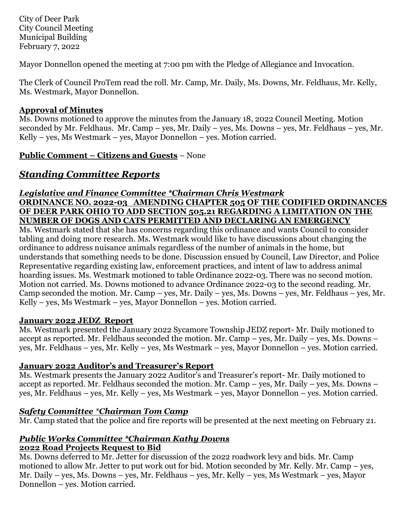City of Deer Park City Council Meeting Municipal Building February 7, 2022

Mayor Donnellon opened the meeting at 7:00 pm with the Pledge of Allegiance and Invocation.

The Clerk of Council ProTem read the roll. Mr. Camp, Mr. Daily, Ms. Downs, Mr. Feldhaus, Mr. Kelly, Ms. Westmark, Mayor Donnellon.

# **Approval of Minutes**

Ms. Downs motioned to approve the minutes from the January 18, 2022 Council Meeting. Motion seconded by Mr. Feldhaus. Mr. Camp – yes, Mr. Daily – yes, Ms. Downs – yes, Mr. Feldhaus – yes, Mr. Kelly – yes, Ms Westmark – yes, Mayor Donnellon – yes. Motion carried.

**Public Comment – Citizens and Guests** – None

# *Standing Committee Reports*

#### *Legislative and Finance Committee \*Chairman Chris Westmark* **ORDINANCE NO. 2022-03 AMENDING CHAPTER 505 OF THE CODIFIED ORDINANCES OF DEER PARK OHIO TO ADD SECTION 505.21 REGARDING A LIMITATION ON THE NUMBER OF DOGS AND CATS PERMITTED AND DECLARING AN EMERGENCY**

Ms. Westmark stated that she has concerns regarding this ordinance and wants Council to consider tabling and doing more research. Ms. Westmark would like to have discussions about changing the ordinance to address nuisance animals regardless of the number of animals in the home, but understands that something needs to be done. Discussion ensued by Council, Law Director, and Police Representative regarding existing law, enforcement practices, and intent of law to address animal hoarding issues. Ms. Westmark motioned to table Ordinance 2022-03. There was no second motion. Motion not carried. Ms. Downs motioned to advance Ordinance 2022-03 to the second reading. Mr. Camp seconded the motion. Mr. Camp – yes, Mr. Daily – yes, Ms. Downs – yes, Mr. Feldhaus – yes, Mr. Kelly – yes, Ms Westmark – yes, Mayor Donnellon – yes. Motion carried.

## **January 2022 JEDZ Report**

Ms. Westmark presented the January 2022 Sycamore Township JEDZ report- Mr. Daily motioned to accept as reported. Mr. Feldhaus seconded the motion. Mr. Camp – yes, Mr. Daily – yes, Ms. Downs – yes, Mr. Feldhaus – yes, Mr. Kelly – yes, Ms Westmark – yes, Mayor Donnellon – yes. Motion carried.

# **January 2022 Auditor's and Treasurer's Report**

Ms. Westmark presents the January 2022 Auditor's and Treasurer's report- Mr. Daily motioned to accept as reported. Mr. Feldhaus seconded the motion. Mr. Camp – yes, Mr. Daily – yes, Ms. Downs – yes, Mr. Feldhaus – yes, Mr. Kelly – yes, Ms Westmark – yes, Mayor Donnellon – yes. Motion carried.

# *Safety Committee \*Chairman Tom Camp*

Mr. Camp stated that the police and fire reports will be presented at the next meeting on February 21.

#### *Public Works Committee \*Chairman Kathy Downs* **2022 Road Projects Request to Bid**

Ms. Downs deferred to Mr. Jetter for discussion of the 2022 roadwork levy and bids. Mr. Camp motioned to allow Mr. Jetter to put work out for bid. Motion seconded by Mr. Kelly. Mr. Camp – yes, Mr. Daily – yes, Ms. Downs – yes, Mr. Feldhaus – yes, Mr. Kelly – yes, Ms Westmark – yes, Mayor Donnellon – yes. Motion carried.